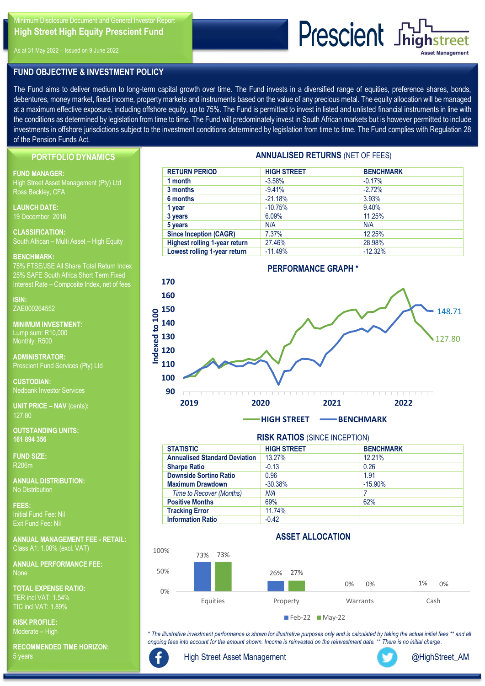Minimum Disclosure Document and General Investor Report **High Street High Equity Prescient Fund** 

As at 31 May 2022 – Issued on 9 June 2022

## **FUND OBJECTIVE & INVESTMENT POLICY**

The Fund aims to deliver medium to long-term capital growth over time. The Fund invests in a diversified range of equities, preference shares, bonds, debentures, money market, fixed income, property markets and instruments based on the value of any precious metal. The equity allocation will be managed at a maximum effective exposure, including offshore equity, up to 75%. The Fund is permitted to invest in listed and unlisted financial instruments in line with the conditions as determined by legislation from time to time. The Fund will predominately invest in South African markets but is however permitted to include investments in offshore jurisdictions subject to the investment conditions determined by legislation from time to time. The Fund complies with Regulation 28 of the Pension Funds Act.

**PORTFOLIO DYNAMICS**

### **FUND MANAGER:**

High Street Asset Management (Pty) Ltd Ross Beckley, CFA

**LAUNCH DATE:**  19 December 2018

**CLASSIFICATION:**  South African – Multi Asset – High Equity

### **BENCHMARK:**

75% FTSE/JSE All Share Total Return Index 25% SAFE South Africa Short Term Fixed Interest Rate – Composite Index, net of fees

**ISIN:** ZAE000264552

**MINIMUM INVESTMENT**: Lump sum: R10,000 Monthly: R500

**ADMINISTRATOR:**  Prescient Fund Services (Pty) Ltd

**CUSTODIAN:**  Nedbank Investor Services

**UNIT PRICE – NAV** (cents)**:** 127.80

**OUTSTANDING UNITS: 161 894 356**

**FUND SIZE:** R206m

**ANNUAL DISTRIBUTION:** No Distribution

**FEES:**  Initial Fund Fee: Nil Exit Fund Fee: Nil

**ANNUAL MANAGEMENT FEE - RETAIL:**  Class A1: 1.00% (excl. VAT)

**ANNUAL PERFORMANCE FEE:**  None

**TOTAL EXPENSE RATIO:**  TER incl VAT: 1.54% TIC incl VAT: 1.89%

**RISK PROFILE:** Moderate – High

**RECOMMENDED TIME HORIZON:** 5 years

# **ANNUALISED RETURNS** (NET OF FEES)

**Prescient** Shighstreet

| <b>RETURN PERIOD</b>                 | <b>HIGH STREET</b> | <b>BENCHMARK</b> |  |  |  |  |
|--------------------------------------|--------------------|------------------|--|--|--|--|
| 1 month                              | $-3.58%$           | $-0.17%$         |  |  |  |  |
| 3 months                             | $-9.41%$           | $-2.72%$         |  |  |  |  |
| 6 months                             | $-21.18%$          | 3.93%            |  |  |  |  |
| 1 year                               | $-10.75%$          | 9.40%            |  |  |  |  |
| 3 years                              | 6.09%              | 11.25%           |  |  |  |  |
| 5 years                              | N/A                | N/A              |  |  |  |  |
| <b>Since Inception (CAGR)</b>        | 7.37%              | 12.25%           |  |  |  |  |
| <b>Highest rolling 1-year return</b> | 27.46%             | 28.98%           |  |  |  |  |
| Lowest rolling 1-year return         | $-11.49%$          | $-12.32%$        |  |  |  |  |



# **RISK RATIOS** (SINCE INCEPTION)

| <b>STATISTIC</b>                     | <b>HIGH STREET</b> | <b>BENCHMARK</b> |  |  |  |  |
|--------------------------------------|--------------------|------------------|--|--|--|--|
| <b>Annualised Standard Deviation</b> | 13.27%             | 12.21%           |  |  |  |  |
| <b>Sharpe Ratio</b>                  | $-0.13$            | 0.26             |  |  |  |  |
| <b>Downside Sortino Ratio</b>        | 0.96               | 1.91             |  |  |  |  |
| <b>Maximum Drawdown</b>              | $-30.38%$          | $-15.90%$        |  |  |  |  |
| <b>Time to Recover (Months)</b>      | N/A                |                  |  |  |  |  |
| <b>Positive Months</b>               | 69%                | 62%              |  |  |  |  |
| <b>Tracking Error</b>                | 11.74%             |                  |  |  |  |  |
| <b>Information Ratio</b>             | $-0.42$            |                  |  |  |  |  |

## **ASSET ALLOCATION**



*\* The illustrative investment performance is shown for illustrative purposes only and is calculated by taking the actual initial fees \*\* and all ongoing fees into account for the amount shown. Income is reinvested on the reinvestment date. \*\* There is no initial charge.*



[High Street Asset Management](http://www.facebook.com/search/top?q=high%20street%20asset%20management)



[@HighStreet\\_AM](https://twitter.com/HighStreet_AM)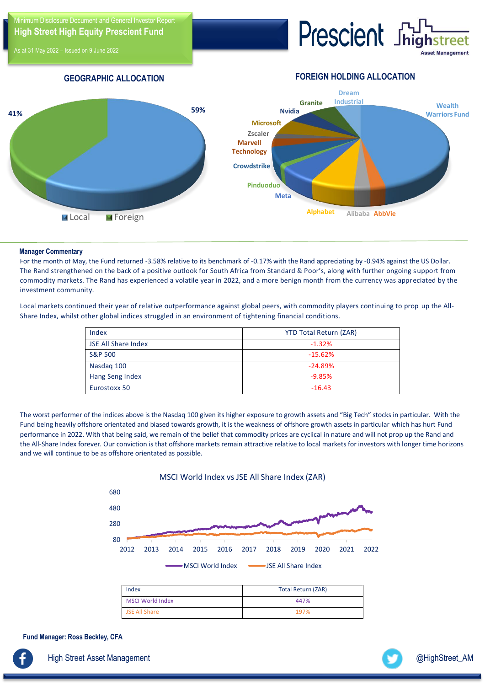imum Disclosure Document and General Investor Report **High Street High Equity Prescient Fund** 

 $A$ t 31 May 2022 – Issued on 9 June 2022

Prescient Jhi

**FOREIGN HOLDING ALLOCATION**

## **GEOGRAPHIC ALLOCATION**



### **Manager Commentary**

For the month of May, the Fund returned -3.58% relative to its benchmark of -0.17% with the Rand appreciating by -0.94% against the US Dollar. The Rand strengthened on the back of a positive outlook for South Africa from Standard & Poor's, along with further ongoing support from commodity markets. The Rand has experienced a volatile year in 2022, and a more benign month from the currency was appreciated by the investment community.

Local markets continued their year of relative outperformance against global peers, with commodity players continuing to prop up the All-Share Index, whilst other global indices struggled in an environment of tightening financial conditions.

| Index                      | <b>YTD Total Return (ZAR)</b> |
|----------------------------|-------------------------------|
| <b>JSE All Share Index</b> | $-1.32%$                      |
| <b>S&amp;P 500</b>         | $-15.62%$                     |
| Nasdag 100                 | $-24.89%$                     |
| Hang Seng Index            | $-9.85%$                      |
| Eurostoxx 50               | $-16.43$                      |

The worst performer of the indices above is the Nasdaq 100 given its higher exposure to growth assets and "Big Tech" stocks in particular. With the Fund being heavily offshore orientated and biased towards growth, it is the weakness of offshore growth assets in particular which has hurt Fund performance in 2022. With that being said, we remain of the belief that commodity prices are cyclical in nature and will not prop up the Rand and the All-Share Index forever. Our conviction is that offshore markets remain attractive relative to local markets for investors with longer time horizons and we will continue to be as offshore orientated as possible.



MSCI World Index 447% JSE All Share 197%

**Fund Manager: Ross Beckley, CFA**

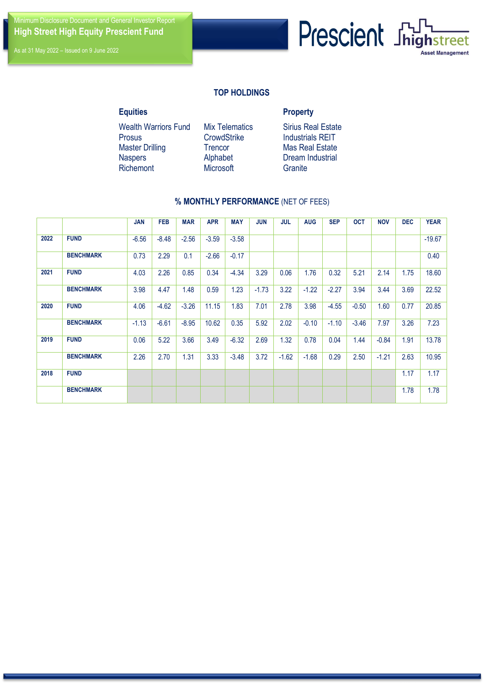Minimum Disclosure Document and General Investor Report **High Street High Equity Prescient Fund** 



# **TOP HOLDINGS**

# **Equities Property**

Wealth Warriors Fund Mix Telematics Sirius Real Estate Prosus CrowdStrike Industrials REIT Master Drilling Trencor Mas Real Estate Naspers Alphabet Dream Industrial<br>Richemont Microsoft Granite **Richemont** 

# **% MONTHLY PERFORMANCE** (NET OF FEES)

|      |                  | <b>JAN</b> | <b>FEB</b> | <b>MAR</b> | <b>APR</b> | <b>MAY</b> | <b>JUN</b> | <b>JUL</b> | <b>AUG</b> | <b>SEP</b> | <b>OCT</b> | <b>NOV</b> | <b>DEC</b> | <b>YEAR</b> |
|------|------------------|------------|------------|------------|------------|------------|------------|------------|------------|------------|------------|------------|------------|-------------|
| 2022 | <b>FUND</b>      | $-6.56$    | $-8.48$    | $-2.56$    | $-3.59$    | $-3.58$    |            |            |            |            |            |            |            | $-19.67$    |
|      | <b>BENCHMARK</b> | 0.73       | 2.29       | 0.1        | $-2.66$    | $-0.17$    |            |            |            |            |            |            |            |             |
| 2021 | <b>FUND</b>      | 4.03       | 2.26       | 0.85       | 0.34       | $-4.34$    | 3.29       | 0.06       | 1.76       | 0.32       | 5.21       | 2.14       | 1.75       | 18.60       |
|      | <b>BENCHMARK</b> | 3.98       | 4.47       | 1.48       | 0.59       | 1.23       | $-1.73$    | 3.22       | $-1.22$    | $-2.27$    | 3.94       | 3.44       | 3.69       | 22.52       |
| 2020 | <b>FUND</b>      | 4.06       | $-4.62$    | $-3.26$    | 11.15      | 1.83       | 7.01       | 2.78       | 3.98       | $-4.55$    | $-0.50$    | 1.60       | 0.77       | 20.85       |
|      | <b>BENCHMARK</b> | $-1.13$    | $-6.61$    | $-8.95$    | 10.62      | 0.35       | 5.92       | 2.02       | $-0.10$    | $-1.10$    | $-3.46$    | 7.97       | 3.26       |             |
| 2019 | <b>FUND</b>      | 0.06       | 5.22       | 3.66       | 3.49       | $-6.32$    | 2.69       | 1.32       | 0.78       | 0.04       | 1.44       | $-0.84$    | 1.91       | 13.78       |
|      | <b>BENCHMARK</b> | 2.26       | 2.70       | 1.31       | 3.33       | $-3.48$    | 3.72       | $-1.62$    | $-1.68$    | 0.29       | 2.50       | $-1.21$    | 2.63       | 10.95       |
| 2018 | <b>FUND</b>      |            |            |            |            |            |            |            |            |            |            |            | 1.17       |             |
|      | <b>BENCHMARK</b> |            |            |            |            |            |            |            |            |            |            |            | 1.78       |             |